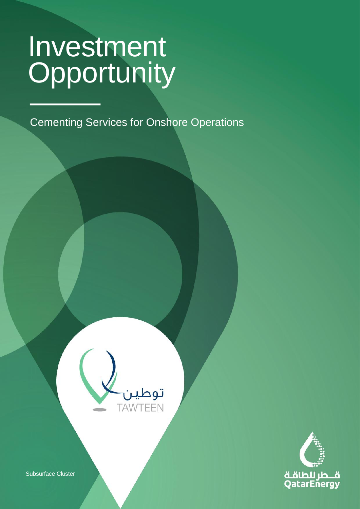CLASSIFICATION: C2 - CONFIDENTIAL

Cementing Services for Onshore Operations





Subsurface Cluster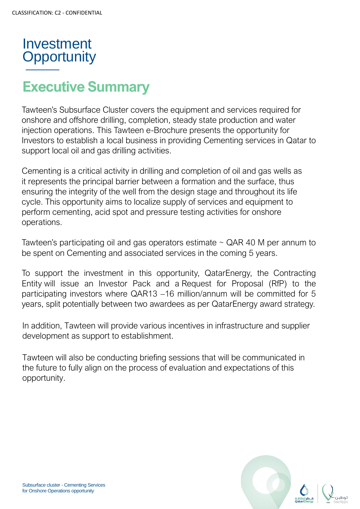

## **Executive Summary**

Tawteen's Subsurface Cluster covers the equipment and services required for onshore and offshore drilling, completion, steady state production and water injection operations. This Tawteen e-Brochure presents the opportunity for Investors to establish a local business in providing Cementing services in Qatar to support local oil and gas drilling activities.

Cementing is a critical activity in drilling and completion of oil and gas wells as it represents the principal barrier between a formation and the surface, thus ensuring the integrity of the well from the design stage and throughout its life cycle. This opportunity aims to localize supply of services and equipment to perform cementing, acid spot and pressure testing activities for onshore operations.

Tawteen's participating oil and gas operators estimate  $\sim$  QAR 40 M per annum to be spent on Cementing and associated services in the coming 5 years.

To support the investment in this opportunity, QatarEnergy, the Contracting Entity will issue an Investor Pack and a Request for Proposal (RfP) to the participating investors where QAR13 –16 million/annum will be committed for 5 years, split potentially between two awardees as per QatarEnergy award strategy.

In addition, Tawteen will provide various incentives in infrastructure and supplier development as support to establishment.

Tawteen will also be conducting briefing sessions that will be communicated in the future to fully align on the process of evaluation and expectations of this opportunity.

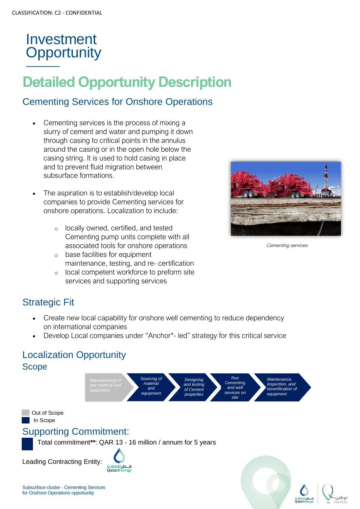# **Detailed Opportunity Description**

#### Cementing Services for Onshore Operations

- Cementing services is the process of mixing a slurry of cement and water and pumping it down through casing to critical points in the annulus around the casing or in the open hole below the casing string. It is used to hold casing in place and to prevent fluid migration between subsurface formations.
- The aspiration is to establish/develop local companies to provide Cementing services for onshore operations. Localization to include:
	- o locally owned, certified, and tested Cementing pump units complete with all associated tools for onshore operations
	- o base facilities for equipment maintenance, testing, and re- certification
	- o local competent workforce to preform site services and supporting services



Cementing services

#### Strategic Fit

- Create new local capability for onshore well cementing to reduce dependency on international companies
- Develop Local companies under "Anchor\*- led" strategy for this critical service

#### Localization Opportunity Scope

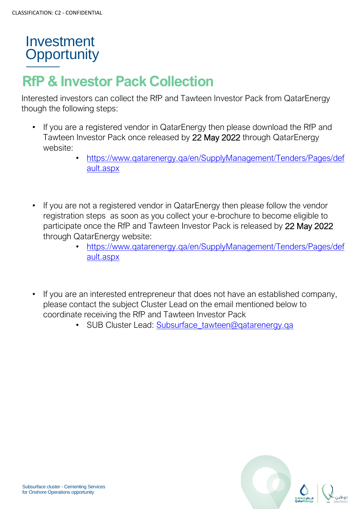# **RfP & Investor Pack Collection**

Interested investors can collect the RfP and Tawteen Investor Pack from QatarEnergy though the following steps:

- If you are a registered vendor in QatarEnergy then please download the RfP and Tawteen Investor Pack once released by 22 May 2022 through QatarEnergy website:
	- [https://www.qatarenergy.qa/en/SupplyManagement/Tenders/Pages/def](https://www.qatarenergy.qa/en/SupplyManagement/Tenders/Pages/default.aspx) [ault.aspx](https://www.qatarenergy.qa/en/SupplyManagement/Tenders/Pages/default.aspx)
- If you are not a registered vendor in QatarEnergy then please follow the vendor registration steps as soon as you collect your e-brochure to become eligible to participate once the RfP and Tawteen Investor Pack is released by 22 May 2022 through QatarEnergy website:
	- [https://www.qatarenergy.qa/en/SupplyManagement/Tenders/Pages/def](https://www.qatarenergy.qa/en/SupplyManagement/Tenders/Pages/default.aspx) [ault.aspx](https://www.qatarenergy.qa/en/SupplyManagement/Tenders/Pages/default.aspx)
- If you are an interested entrepreneur that does not have an established company, please contact the subject Cluster Lead on the email mentioned below to coordinate receiving the RfP and Tawteen Investor Pack
	- SUB Cluster Lead: [Subsurface\\_tawteen@qatarenergy.qa](mailto:Subsurface_tawteen@qatarenergy.qa)